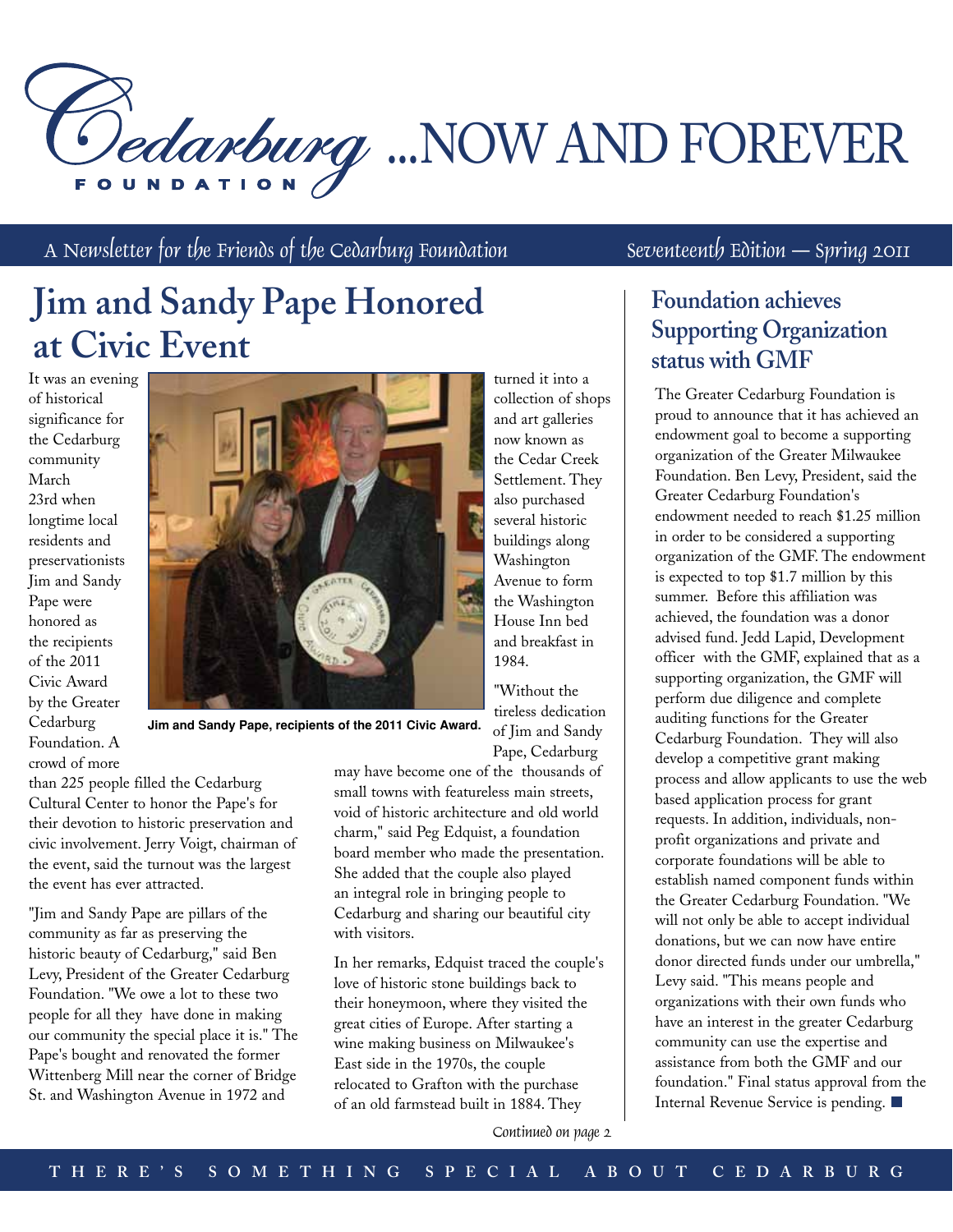# Dedarburg ...NOW AND FOREVER

turned it into a collection of shops and art galleries now known as the Cedar Creek Settlement. They also purchased several historic buildings along Washington Avenue to form the Washington House Inn bed and breakfast in

A Newsletter for the Friends of the Cedarburg Foundation Seventeenth Edition – Spring 2011

# **Jim and Sandy Pape Honored at Civic Event**

It was an evening of historical significance for the Cedarburg community March 23rd when longtime local residents and preservationists Jim and Sandy Pape were honored as the recipients of the 2011 Civic Award by the Greater Cedarburg Foundation. A crowd of more



**Jim and Sandy Pape, recipients of the 2011 Civic Award.**

than 225 people filled the Cedarburg Cultural Center to honor the Pape's for their devotion to historic preservation and civic involvement. Jerry Voigt, chairman of the event, said the turnout was the largest the event has ever attracted.

"Jim and Sandy Pape are pillars of the community as far as preserving the historic beauty of Cedarburg," said Ben Levy, President of the Greater Cedarburg Foundation. "We owe a lot to these two people for all they have done in making our community the special place it is." The Pape's bought and renovated the former Wittenberg Mill near the corner of Bridge St. and Washington Avenue in 1972 and

Pape, Cedarburg may have become one of the thousands of small towns with featureless main streets, void of historic architecture and old world charm," said Peg Edquist, a foundation board member who made the presentation. She added that the couple also played an integral role in bringing people to Cedarburg and sharing our beautiful city with visitors.

1984.

"Without the tireless dedication of Jim and Sandy

In her remarks, Edquist traced the couple's love of historic stone buildings back to their honeymoon, where they visited the great cities of Europe. After starting a wine making business on Milwaukee's East side in the 1970s, the couple relocated to Grafton with the purchase of an old farmstead built in 1884. They

# **Foundation achieves Supporting Organization status with GMF**

The Greater Cedarburg Foundation is proud to announce that it has achieved an endowment goal to become a supporting organization of the Greater Milwaukee Foundation. Ben Levy, President, said the Greater Cedarburg Foundation's endowment needed to reach \$1.25 million in order to be considered a supporting organization of the GMF. The endowment is expected to top \$1.7 million by this summer. Before this affiliation was achieved, the foundation was a donor advised fund. Jedd Lapid, Development officer with the GMF, explained that as a supporting organization, the GMF will perform due diligence and complete auditing functions for the Greater Cedarburg Foundation. They will also develop a competitive grant making process and allow applicants to use the web based application process for grant requests. In addition, individuals, nonprofit organizations and private and corporate foundations will be able to establish named component funds within the Greater Cedarburg Foundation. "We will not only be able to accept individual donations, but we can now have entire donor directed funds under our umbrella," Levy said. "This means people and organizations with their own funds who have an interest in the greater Cedarburg community can use the expertise and assistance from both the GMF and our foundation." Final status approval from the Internal Revenue Service is pending.

Continued on page 2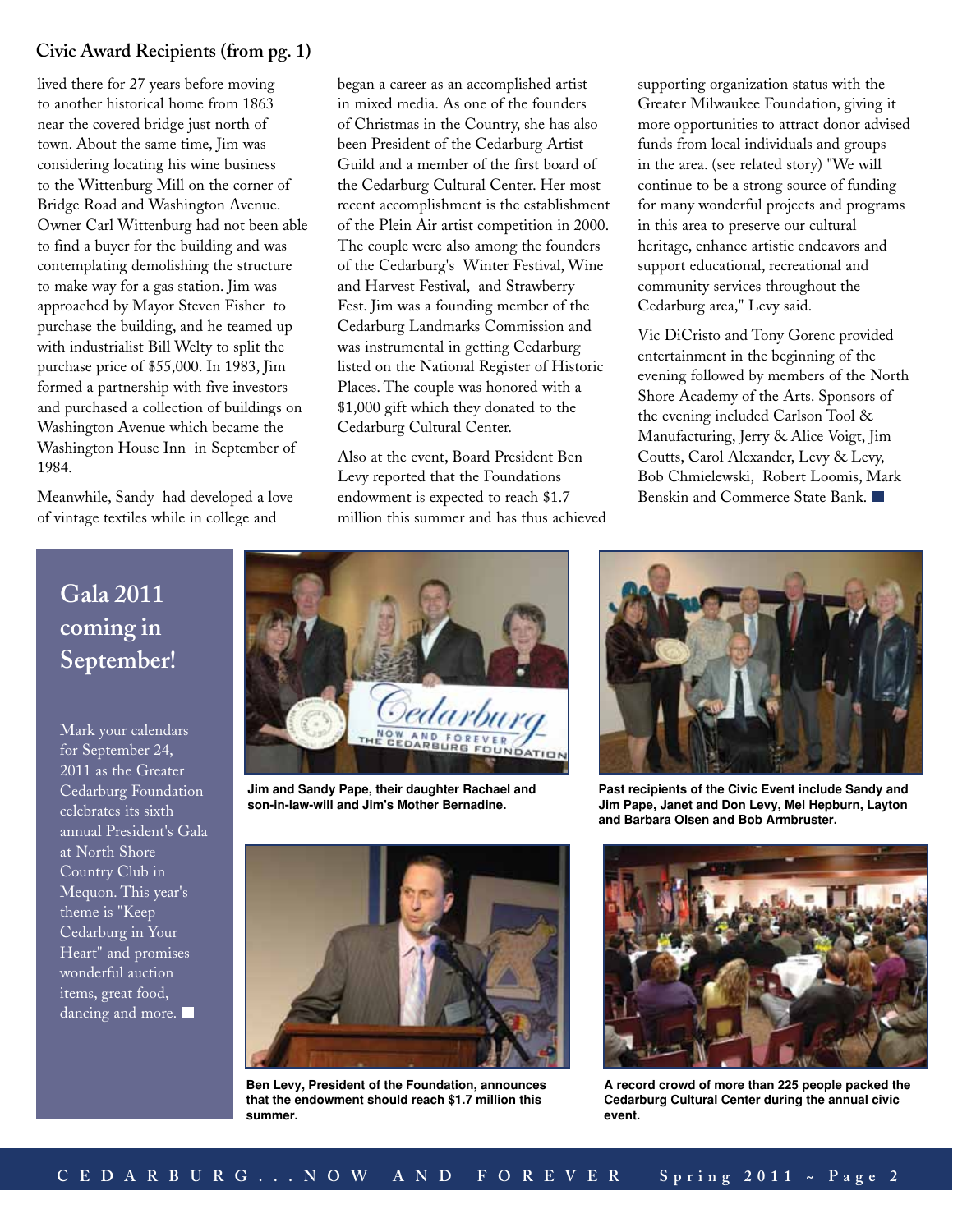## **Civic Award Recipients (from pg. 1)**

lived there for 27 years before moving to another historical home from 1863 near the covered bridge just north of town. About the same time, Jim was considering locating his wine business to the Wittenburg Mill on the corner of Bridge Road and Washington Avenue. Owner Carl Wittenburg had not been able to find a buyer for the building and was contemplating demolishing the structure to make way for a gas station. Jim was approached by Mayor Steven Fisher to purchase the building, and he teamed up with industrialist Bill Welty to split the purchase price of \$55,000. In 1983, Jim formed a partnership with five investors and purchased a collection of buildings on Washington Avenue which became the Washington House Inn in September of 1984.

Meanwhile, Sandy had developed a love of vintage textiles while in college and

began a career as an accomplished artist in mixed media. As one of the founders of Christmas in the Country, she has also been President of the Cedarburg Artist Guild and a member of the first board of the Cedarburg Cultural Center. Her most recent accomplishment is the establishment of the Plein Air artist competition in 2000. The couple were also among the founders of the Cedarburg's Winter Festival, Wine and Harvest Festival, and Strawberry Fest. Jim was a founding member of the Cedarburg Landmarks Commission and was instrumental in getting Cedarburg listed on the National Register of Historic Places. The couple was honored with a \$1,000 gift which they donated to the Cedarburg Cultural Center.

Also at the event, Board President Ben Levy reported that the Foundations endowment is expected to reach \$1.7 million this summer and has thus achieved supporting organization status with the Greater Milwaukee Foundation, giving it more opportunities to attract donor advised funds from local individuals and groups in the area. (see related story) "We will continue to be a strong source of funding for many wonderful projects and programs in this area to preserve our cultural heritage, enhance artistic endeavors and support educational, recreational and community services throughout the Cedarburg area," Levy said.

Vic DiCristo and Tony Gorenc provided entertainment in the beginning of the evening followed by members of the North Shore Academy of the Arts. Sponsors of the evening included Carlson Tool & Manufacturing, Jerry & Alice Voigt, Jim Coutts, Carol Alexander, Levy & Levy, Bob Chmielewski, Robert Loomis, Mark Benskin and Commerce State Bank.

# **Gala 2011 coming in September!**

Mark your calendars for September 24, 2011 as the Greater Cedarburg Foundation celebrates its sixth annual President's Gala at North Shore Country Club in Mequon. This year's theme is "Keep Cedarburg in Your Heart" and promises wonderful auction items, great food, dancing and more.  $\blacksquare$ 



**Jim and Sandy Pape, their daughter Rachael and son-in-law-will and Jim's Mother Bernadine.**



**Ben Levy, President of the Foundation, announces that the endowment should reach \$1.7 million this summer.**



**Past recipients of the Civic Event include Sandy and Jim Pape, Janet and Don Levy, Mel Hepburn, Layton and Barbara Olsen and Bob Armbruster.**



**A record crowd of more than 225 people packed the Cedarburg Cultural Center during the annual civic event.**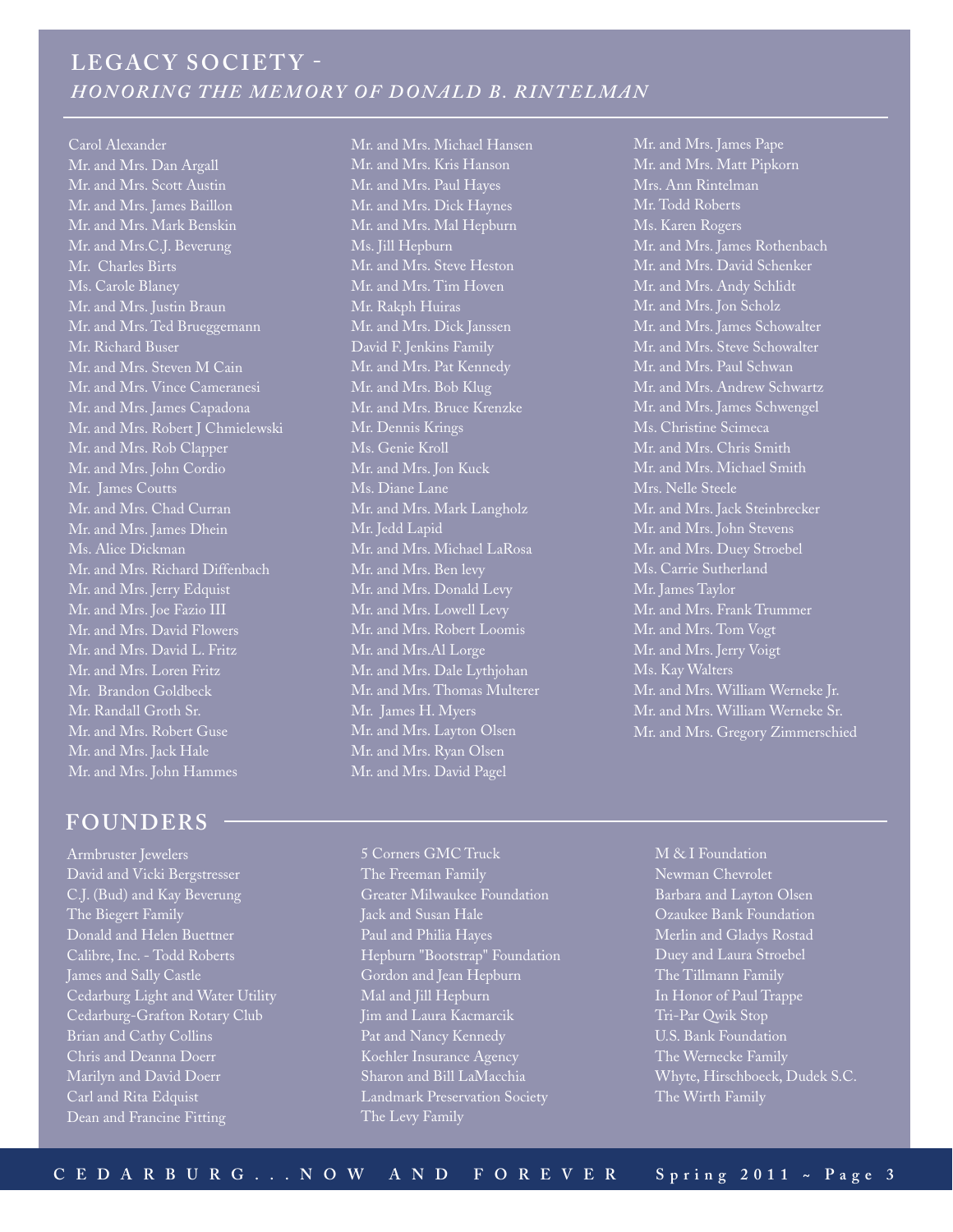## LEGACY SOCIETY -*Honoring the MEMORY of Donald B. Rintelma n*

## Carol Alexander

Mr. and Mrs. Dan Argall Mr. and Mrs. Scott Austin Mr. and Mrs. James Baillon Mr. and Mrs. Mark Benskin Mr. and Mrs.C.J. Beverung Mr. Charles Birts Ms. Carole Blaney Mr. and Mrs. Justin Braun Mr. and Mrs. Ted Brueggemann Mr. Richard Buser Mr. and Mrs. Steven M Cain Mr. and Mrs. Vince Cameranesi Mr. and Mrs. James Capadona Mr. and Mrs. Robert J Chmielewski Mr. and Mrs. Rob Clapper Mr. and Mrs. John Cordio Mr. James Coutts Mr. and Mrs. Chad Curran Mr. and Mrs. James Dhein Ms. Alice Dickman Mr. and Mrs. Richard Diffenbach Mr. and Mrs. Jerry Edquist Mr. and Mrs. Joe Fazio III Mr. and Mrs. David Flowers Mr. and Mrs. David L. Fritz Mr. and Mrs. Loren Fritz Mr. Brandon Goldbeck Mr. Randall Groth Sr. Mr. and Mrs. Robert Guse Mr. and Mrs. Jack Hale Mr. and Mrs. John Hammes

## **FOUNDERS**

Armbruster Jewelers David and Vicki Bergstresser C.J. (Bud) and Kay Beverung The Biegert Family Donald and Helen Buettner Calibre, Inc. - Todd Roberts James and Sally Castle Cedarburg Light and Water Utility Cedarburg-Grafton Rotary Club Brian and Cathy Collins Chris and Deanna Doerr Marilyn and David Doerr Carl and Rita Edquist Dean and Francine Fitting

Mr. and Mrs. Michael Hansen Mr. and Mrs. Kris Hanson Mr. and Mrs. Paul Hayes Mr. and Mrs. Dick Haynes Mr. and Mrs. Mal Hepburn Ms. Jill Hepburn Mr. and Mrs. Steve Heston Mr. and Mrs. Tim Hoven Mr. Rakph Huiras Mr. and Mrs. Dick Janssen David F. Jenkins Family Mr. and Mrs. Pat Kennedy Mr. and Mrs. Bob Klug Mr. and Mrs. Bruce Krenzke Mr. Dennis Krings Ms. Genie Kroll Mr. and Mrs. Jon Kuck Ms. Diane Lane Mr. and Mrs. Mark Langholz Mr. Jedd Lapid Mr. and Mrs. Michael LaRosa Mr. and Mrs. Ben levy Mr. and Mrs. Donald Levy Mr. and Mrs. Lowell Levy Mr. and Mrs. Robert Loomis Mr. and Mrs.Al Lorge Mr. and Mrs. Dale Lythjohan Mr. and Mrs. Thomas Multerer Mr. James H. Myers Mr. and Mrs. Layton Olsen Mr. and Mrs. Ryan Olsen Mr. and Mrs. David Pagel

Mr. and Mrs. James Pape Mr. and Mrs. Matt Pipkorn Mrs. Ann Rintelman Mr. Todd Roberts Ms. Karen Rogers Mr. and Mrs. James Rothenbach Mr. and Mrs. David Schenker Mr. and Mrs. Andy Schlidt Mr. and Mrs. Jon Scholz Mr. and Mrs. James Schowalter Mr. and Mrs. Steve Schowalter Mr. and Mrs. Paul Schwan Mr. and Mrs. Andrew Schwartz Mr. and Mrs. James Schwengel Ms. Christine Scimeca Mr. and Mrs. Chris Smith Mr. and Mrs. Michael Smith Mrs. Nelle Steele Mr. and Mrs. Jack Steinbrecker Mr. and Mrs. John Stevens Mr. and Mrs. Duey Stroebel Ms. Carrie Sutherland Mr. James Taylor Mr. and Mrs. Frank Trummer Mr. and Mrs. Tom Vogt Mr. and Mrs. Jerry Voigt Ms. Kay Walters Mr. and Mrs. William Werneke Jr. Mr. and Mrs. William Werneke Sr. Mr. and Mrs. Gregory Zimmerschied

5 Corners GMC Truck The Freeman Family Greater Milwaukee Foundation Jack and Susan Hale Paul and Philia Hayes Hepburn "Bootstrap" Foundation Gordon and Jean Hepburn Mal and Jill Hepburn Jim and Laura Kacmarcik Pat and Nancy Kennedy Koehler Insurance Agency Sharon and Bill LaMacchia Landmark Preservation Society The Levy Family

M & I Foundation Newman Chevrolet Barbara and Layton Olsen Ozaukee Bank Foundation Merlin and Gladys Rostad Duey and Laura Stroebel The Tillmann Family In Honor of Paul Trappe Tri-Par Qwik Stop U.S. Bank Foundation The Wernecke Family Whyte, Hirschboeck, Dudek S.C. The Wirth Family